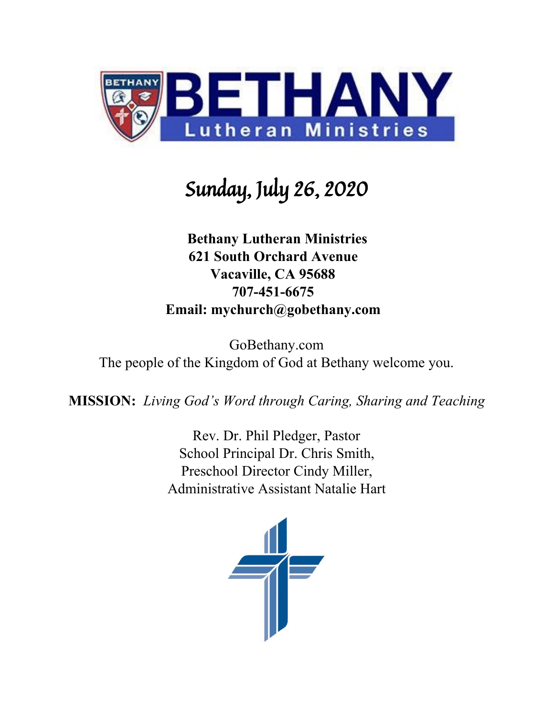

# Sunday, July 26, 2020

### **Bethany Lutheran Ministries 621 South Orchard Avenue Vacaville, CA 95688 707-451-6675 Email: mychurch@gobethany.com**

GoBethany.com The people of the Kingdom of God at Bethany welcome you.

**MISSION:** *Living God's Word through Caring, Sharing and Teaching*

Rev. Dr. Phil Pledger, Pastor School Principal Dr. Chris Smith, Preschool Director Cindy Miller, Administrative Assistant Natalie Hart

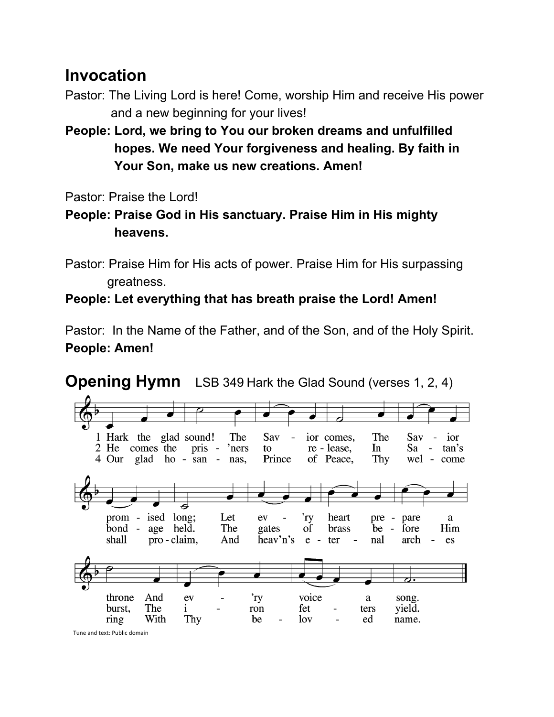### **Invocation**

- Pastor: The Living Lord is here! Come, worship Him and receive His power and a new beginning for your lives!
- **People: Lord, we bring to You our broken dreams and unfulfilled hopes. We need Your forgiveness and healing. By faith in Your Son, make us new creations. Amen!**

Pastor: Praise the Lord!

- **People: Praise God in His sanctuary. Praise Him in His mighty heavens.**
- Pastor: Praise Him for His acts of power. Praise Him for His surpassing greatness.

### **People: Let everything that has breath praise the Lord! Amen!**

Pastor: In the Name of the Father, and of the Son, and of the Holy Spirit. **People: Amen!**



### **Opening Hymn** LSB 349 Hark the Glad Sound (verses 1, 2, 4)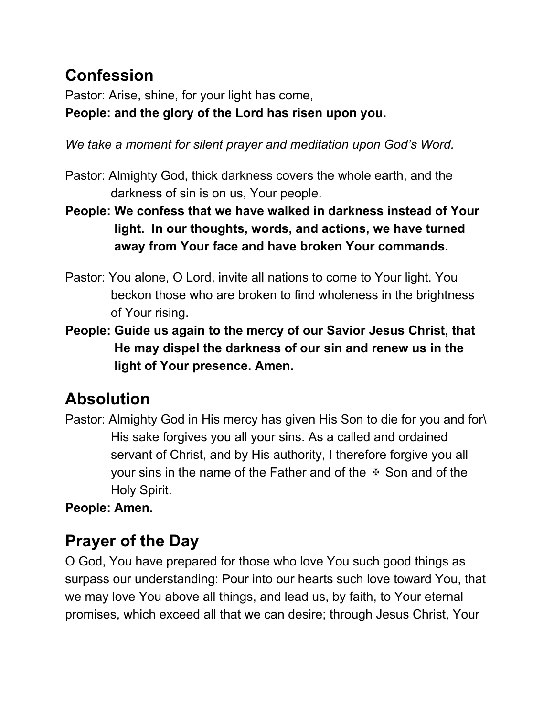## **Confession**

Pastor: Arise, shine, for your light has come, **People: and the glory of the Lord has risen upon you.**

*We take a moment for silent prayer and meditation upon God's Word.*

- Pastor: Almighty God, thick darkness covers the whole earth, and the darkness of sin is on us, Your people.
- **People: We confess that we have walked in darkness instead of Your light. In our thoughts, words, and actions, we have turned away from Your face and have broken Your commands.**
- Pastor: You alone, O Lord, invite all nations to come to Your light. You beckon those who are broken to find wholeness in the brightness of Your rising.
- **People: Guide us again to the mercy of our Savior Jesus Christ, that He may dispel the darkness of our sin and renew us in the light of Your presence. Amen.**

## **Absolution**

Pastor: Almighty God in His mercy has given His Son to die for you and for\ His sake forgives you all your sins. As a called and ordained servant of Christ, and by His authority, I therefore forgive you all your sins in the name of the Father and of the  $\overline{x}$  Son and of the Holy Spirit.

**People: Amen.**

## **Prayer of the Day**

O God, You have prepared for those who love You such good things as surpass our understanding: Pour into our hearts such love toward You, that we may love You above all things, and lead us, by faith, to Your eternal promises, which exceed all that we can desire; through Jesus Christ, Your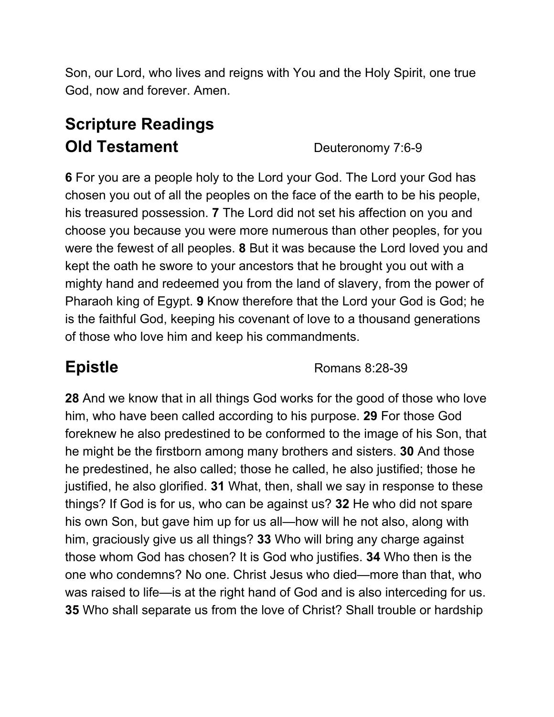Son, our Lord, who lives and reigns with You and the Holy Spirit, one true God, now and forever. Amen.

## **Scripture Readings Old Testament** Deuteronomy 7:6-9

**6** For you are a people holy to the Lord your God. The Lord your God has chosen you out of all the peoples on the face of the earth to be his people, his treasured possession. **7** The Lord did not set his affection on you and choose you because you were more numerous than other peoples, for you were the fewest of all peoples. **8** But it was because the Lord loved you and kept the oath he swore to your ancestors that he brought you out with a mighty hand and redeemed you from the land of slavery, from the power of Pharaoh king of Egypt. **9** Know therefore that the Lord your God is God; he is the faithful God, keeping his covenant of love to a thousand generations of those who love him and keep his commandments.

**Epistle** Romans 8:28-39

**28** And we know that in all things God works for the good of those who love him, who have been called according to his purpose. **29** For those God foreknew he also predestined to be conformed to the image of his Son, that he might be the firstborn among many brothers and sisters. **30** And those he predestined, he also called; those he called, he also justified; those he justified, he also glorified. **31** What, then, shall we say in response to these things? If God is for us, who can be against us? **32** He who did not spare his own Son, but gave him up for us all—how will he not also, along with him, graciously give us all things? **33** Who will bring any charge against those whom God has chosen? It is God who justifies. **34** Who then is the one who condemns? No one. Christ Jesus who died—more than that, who was raised to life—is at the right hand of God and is also interceding for us. **35** Who shall separate us from the love of Christ? Shall trouble or hardship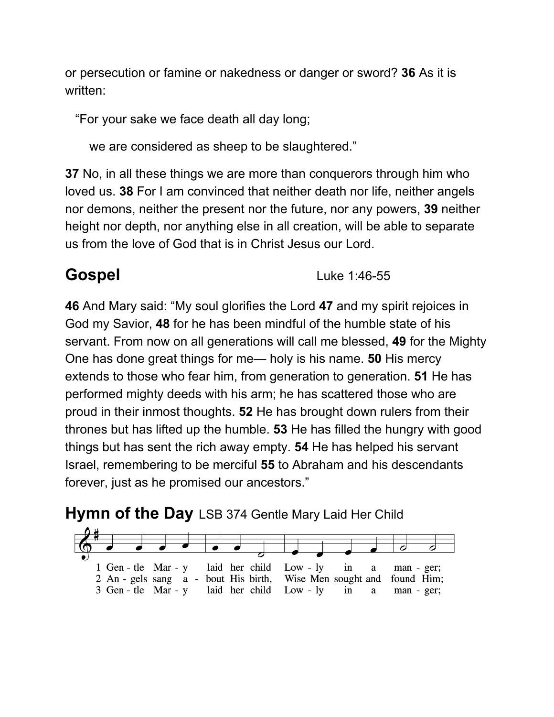or persecution or famine or nakedness or danger or sword? **36** As it is written:

"For your sake we face death all day long;

we are considered as sheep to be slaughtered."

**37** No, in all these things we are more than conquerors through him who loved us. **38** For I am convinced that neither death nor life, neither angels nor demons, neither the present nor the future, nor any powers, **39** neither height nor depth, nor anything else in all creation, will be able to separate us from the love of God that is in Christ Jesus our Lord.

**Gospel** Luke 1:46-55

**46** And Mary said: "My soul glorifies the Lord **47** and my spirit rejoices in God my Savior, **48** for he has been mindful of the humble state of his servant. From now on all generations will call me blessed, **49** for the Mighty One has done great things for me— holy is his name. **50** His mercy extends to those who fear him, from generation to generation. **51** He has performed mighty deeds with his arm; he has scattered those who are proud in their inmost thoughts. **52** He has brought down rulers from their thrones but has lifted up the humble. **53** He has filled the hungry with good things but has sent the rich away empty. **54** He has helped his servant Israel, remembering to be merciful **55** to Abraham and his descendants forever, just as he promised our ancestors."

### **Hymn of the Day** LSB 374 Gentle Mary Laid Her Child

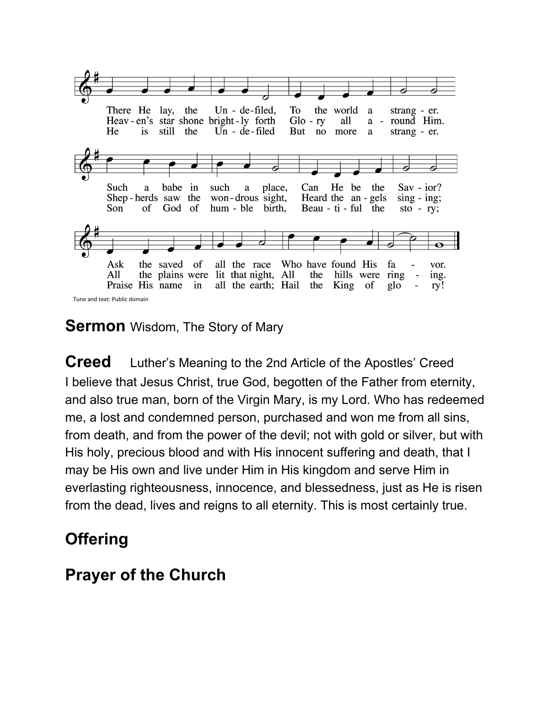

### **Sermon** Wisdom, The Story of Mary

**Creed** Luther's Meaning to the 2nd Article of the Apostles' Creed I believe that Jesus Christ, true God, begotten of the Father from eternity, and also true man, born of the Virgin Mary, is my Lord. Who has redeemed me, a lost and condemned person, purchased and won me from all sins, from death, and from the power of the devil; not with gold or silver, but with His holy, precious blood and with His innocent suffering and death, that I may be His own and live under Him in His kingdom and serve Him in everlasting righteousness, innocence, and blessedness, just as He is risen from the dead, lives and reigns to all eternity. This is most certainly true.

### **Offering**

### **Prayer of the Church**